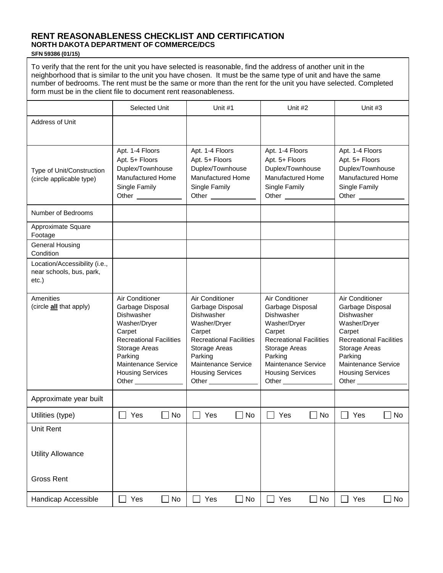## **RENT REASONABLENESS CHECKLIST AND CERTIFICATION NORTH DAKOTA DEPARTMENT OF COMMERCE/DCS**

## **SFN 59386 (01/15)**

To verify that the rent for the unit you have selected is reasonable, find the address of another unit in the neighborhood that is similar to the unit you have chosen. It must be the same type of unit and have the same number of bedrooms. The rent must be the same or more than the rent for the unit you have selected. Completed form must be in the client file to document rent reasonableness.

|                                                                       | Selected Unit                                                                                                                                                                                                                       | Unit #1                                                                                                                                                                                                                      | Unit #2                                                                                                                                                                                     | Unit #3                                                                                                                                                                                                     |
|-----------------------------------------------------------------------|-------------------------------------------------------------------------------------------------------------------------------------------------------------------------------------------------------------------------------------|------------------------------------------------------------------------------------------------------------------------------------------------------------------------------------------------------------------------------|---------------------------------------------------------------------------------------------------------------------------------------------------------------------------------------------|-------------------------------------------------------------------------------------------------------------------------------------------------------------------------------------------------------------|
| Address of Unit                                                       |                                                                                                                                                                                                                                     |                                                                                                                                                                                                                              |                                                                                                                                                                                             |                                                                                                                                                                                                             |
| Type of Unit/Construction<br>(circle applicable type)                 | Apt. 1-4 Floors<br>Apt. 5+ Floors<br>Duplex/Townhouse<br><b>Manufactured Home</b><br>Single Family<br>Other ______________                                                                                                          | Apt. 1-4 Floors<br>Apt. 5+ Floors<br>Duplex/Townhouse<br>Manufactured Home<br>Single Family<br>Other _______________                                                                                                         | Apt. 1-4 Floors<br>Apt. 5+ Floors<br>Duplex/Townhouse<br>Manufactured Home<br>Single Family                                                                                                 | Apt. 1-4 Floors<br>Apt. 5+ Floors<br>Duplex/Townhouse<br><b>Manufactured Home</b><br>Single Family<br>Other                                                                                                 |
| Number of Bedrooms                                                    |                                                                                                                                                                                                                                     |                                                                                                                                                                                                                              |                                                                                                                                                                                             |                                                                                                                                                                                                             |
| Approximate Square<br>Footage                                         |                                                                                                                                                                                                                                     |                                                                                                                                                                                                                              |                                                                                                                                                                                             |                                                                                                                                                                                                             |
| <b>General Housing</b><br>Condition                                   |                                                                                                                                                                                                                                     |                                                                                                                                                                                                                              |                                                                                                                                                                                             |                                                                                                                                                                                                             |
| Location/Accessibility (i.e.,<br>near schools, bus, park,<br>$etc.$ ) |                                                                                                                                                                                                                                     |                                                                                                                                                                                                                              |                                                                                                                                                                                             |                                                                                                                                                                                                             |
| Amenities<br>(circle <b>all</b> that apply)                           | Air Conditioner<br>Garbage Disposal<br><b>Dishwasher</b><br>Washer/Dryer<br>Carpet<br><b>Recreational Facilities</b><br>Storage Areas<br>Parking<br>Maintenance Service<br><b>Housing Services</b><br>Other <sub>____________</sub> | Air Conditioner<br>Garbage Disposal<br>Dishwasher<br>Washer/Dryer<br>Carpet<br><b>Recreational Facilities</b><br>Storage Areas<br>Parking<br>Maintenance Service<br><b>Housing Services</b><br>Other <sub>____________</sub> | Air Conditioner<br>Garbage Disposal<br>Dishwasher<br>Washer/Dryer<br>Carpet<br><b>Recreational Facilities</b><br>Storage Areas<br>Parking<br>Maintenance Service<br><b>Housing Services</b> | Air Conditioner<br>Garbage Disposal<br>Dishwasher<br>Washer/Dryer<br>Carpet<br><b>Recreational Facilities</b><br>Storage Areas<br>Parking<br>Maintenance Service<br><b>Housing Services</b><br>Other $\_\_$ |
| Approximate year built                                                |                                                                                                                                                                                                                                     |                                                                                                                                                                                                                              |                                                                                                                                                                                             |                                                                                                                                                                                                             |
| Utilities (type)                                                      | Yes<br>No.<br>$\Box$                                                                                                                                                                                                                | Yes<br>No.<br>$\mathsf{L}$                                                                                                                                                                                                   | Yes<br>- I No                                                                                                                                                                               | Yes<br>No                                                                                                                                                                                                   |
| Unit Rent<br><b>Utility Allowance</b><br><b>Gross Rent</b>            |                                                                                                                                                                                                                                     |                                                                                                                                                                                                                              |                                                                                                                                                                                             |                                                                                                                                                                                                             |
|                                                                       |                                                                                                                                                                                                                                     |                                                                                                                                                                                                                              |                                                                                                                                                                                             |                                                                                                                                                                                                             |
| Handicap Accessible                                                   | Yes<br>$\Box$ No                                                                                                                                                                                                                    | Yes<br>$\blacksquare$<br>$\blacksquare$<br>No                                                                                                                                                                                | $\Box$ No<br>Yes                                                                                                                                                                            | No<br>Yes                                                                                                                                                                                                   |